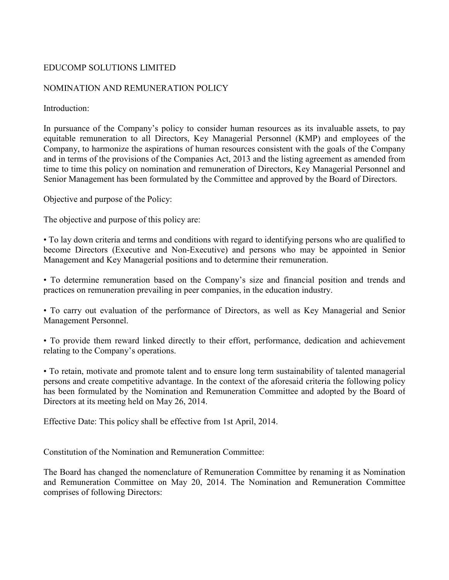## EDUCOMP SOLUTIONS LIMITED

#### NOMINATION AND REMUNERATION POLICY

Introduction:

In pursuance of the Company's policy to consider human resources as its invaluable assets, to pay equitable remuneration to all Directors, Key Managerial Personnel (KMP) and employees of the Company, to harmonize the aspirations of human resources consistent with the goals of the Company and in terms of the provisions of the Companies Act, 2013 and the listing agreement as amended from time to time this policy on nomination and remuneration of Directors, Key Managerial Personnel and Senior Management has been formulated by the Committee and approved by the Board of Directors.

Objective and purpose of the Policy:

The objective and purpose of this policy are:

• To lay down criteria and terms and conditions with regard to identifying persons who are qualified to become Directors (Executive and Non-Executive) and persons who may be appointed in Senior Management and Key Managerial positions and to determine their remuneration.

• To determine remuneration based on the Company's size and financial position and trends and practices on remuneration prevailing in peer companies, in the education industry.

• To carry out evaluation of the performance of Directors, as well as Key Managerial and Senior Management Personnel.

• To provide them reward linked directly to their effort, performance, dedication and achievement relating to the Company's operations.

• To retain, motivate and promote talent and to ensure long term sustainability of talented managerial persons and create competitive advantage. In the context of the aforesaid criteria the following policy has been formulated by the Nomination and Remuneration Committee and adopted by the Board of Directors at its meeting held on May 26, 2014.

Effective Date: This policy shall be effective from 1st April, 2014.

Constitution of the Nomination and Remuneration Committee:

The Board has changed the nomenclature of Remuneration Committee by renaming it as Nomination and Remuneration Committee on May 20, 2014. The Nomination and Remuneration Committee comprises of following Directors: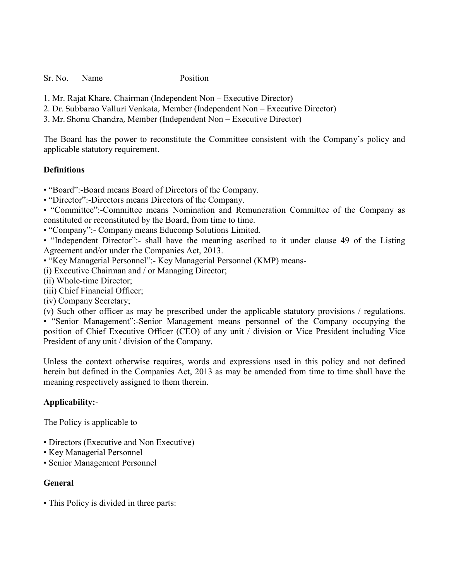Sr. No. Name Position

- 1. Mr. Rajat Khare, Chairman (Independent Non Executive Director)
- 2. Dr. Subbarao Valluri Venkata, Member (Independent Non Executive Director)
- 3. Mr. Shonu Chandra, Member (Independent Non Executive Director)

The Board has the power to reconstitute the Committee consistent with the Company's policy and applicable statutory requirement.

#### **Definitions**

• "Board":-Board means Board of Directors of the Company.

• "Director":-Directors means Directors of the Company.

• "Committee":-Committee means Nomination and Remuneration Committee of the Company as constituted or reconstituted by the Board, from time to time.

• "Company":- Company means Educomp Solutions Limited.

• "Independent Director":- shall have the meaning ascribed to it under clause 49 of the Listing Agreement and/or under the Companies Act, 2013.

• "Key Managerial Personnel":- Key Managerial Personnel (KMP) means-

(i) Executive Chairman and / or Managing Director;

(ii) Whole-time Director;

(iii) Chief Financial Officer;

(iv) Company Secretary;

(v) Such other officer as may be prescribed under the applicable statutory provisions / regulations.

• "Senior Management":-Senior Management means personnel of the Company occupying the position of Chief Executive Officer (CEO) of any unit / division or Vice President including Vice President of any unit / division of the Company.

Unless the context otherwise requires, words and expressions used in this policy and not defined herein but defined in the Companies Act, 2013 as may be amended from time to time shall have the meaning respectively assigned to them therein.

### **Applicability:**-

The Policy is applicable to

- Directors (Executive and Non Executive)
- Key Managerial Personnel
- Senior Management Personnel

### **General**

• This Policy is divided in three parts: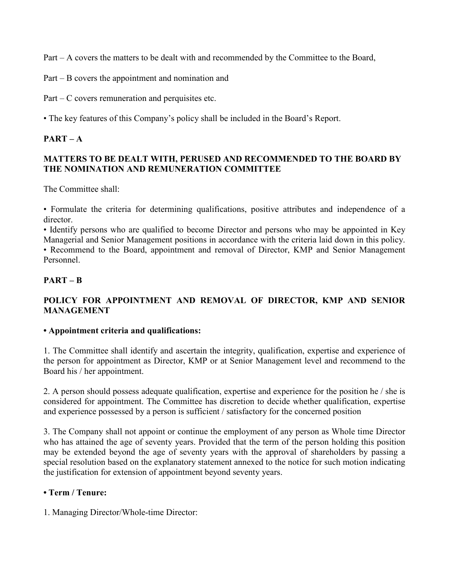Part – A covers the matters to be dealt with and recommended by the Committee to the Board,

Part – B covers the appointment and nomination and

Part – C covers remuneration and perquisites etc.

• The key features of this Company's policy shall be included in the Board's Report.

## $PART - A$

## **MATTERS TO BE DEALT WITH, PERUSED AND RECOMMENDED TO THE BOARD BY THE NOMINATION AND REMUNERATION COMMITTEE**

The Committee shall:

• Formulate the criteria for determining qualifications, positive attributes and independence of a director.

• Identify persons who are qualified to become Director and persons who may be appointed in Key Managerial and Senior Management positions in accordance with the criteria laid down in this policy.

• Recommend to the Board, appointment and removal of Director, KMP and Senior Management Personnel.

# **PART – B**

# **POLICY FOR APPOINTMENT AND REMOVAL OF DIRECTOR, KMP AND SENIOR MANAGEMENT**

### **• Appointment criteria and qualifications:**

1. The Committee shall identify and ascertain the integrity, qualification, expertise and experience of the person for appointment as Director, KMP or at Senior Management level and recommend to the Board his / her appointment.

2. A person should possess adequate qualification, expertise and experience for the position he / she is considered for appointment. The Committee has discretion to decide whether qualification, expertise and experience possessed by a person is sufficient / satisfactory for the concerned position

3. The Company shall not appoint or continue the employment of any person as Whole time Director who has attained the age of seventy years. Provided that the term of the person holding this position may be extended beyond the age of seventy years with the approval of shareholders by passing a special resolution based on the explanatory statement annexed to the notice for such motion indicating the justification for extension of appointment beyond seventy years.

# **• Term / Tenure:**

1. Managing Director/Whole-time Director: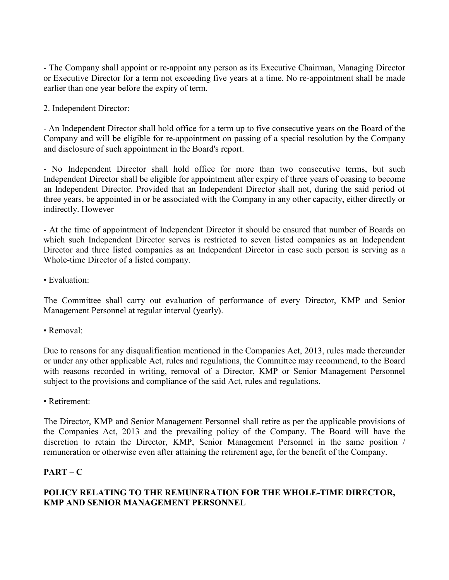- The Company shall appoint or re-appoint any person as its Executive Chairman, Managing Director or Executive Director for a term not exceeding five years at a time. No re-appointment shall be made earlier than one year before the expiry of term.

2. Independent Director:

- An Independent Director shall hold office for a term up to five consecutive years on the Board of the Company and will be eligible for re-appointment on passing of a special resolution by the Company and disclosure of such appointment in the Board's report.

- No Independent Director shall hold office for more than two consecutive terms, but such Independent Director shall be eligible for appointment after expiry of three years of ceasing to become an Independent Director. Provided that an Independent Director shall not, during the said period of three years, be appointed in or be associated with the Company in any other capacity, either directly or indirectly. However

- At the time of appointment of Independent Director it should be ensured that number of Boards on which such Independent Director serves is restricted to seven listed companies as an Independent Director and three listed companies as an Independent Director in case such person is serving as a Whole-time Director of a listed company.

• Evaluation:

The Committee shall carry out evaluation of performance of every Director, KMP and Senior Management Personnel at regular interval (yearly).

• Removal:

Due to reasons for any disqualification mentioned in the Companies Act, 2013, rules made thereunder or under any other applicable Act, rules and regulations, the Committee may recommend, to the Board with reasons recorded in writing, removal of a Director, KMP or Senior Management Personnel subject to the provisions and compliance of the said Act, rules and regulations.

• Retirement:

The Director, KMP and Senior Management Personnel shall retire as per the applicable provisions of the Companies Act, 2013 and the prevailing policy of the Company. The Board will have the discretion to retain the Director, KMP, Senior Management Personnel in the same position / remuneration or otherwise even after attaining the retirement age, for the benefit of the Company.

### **PART – C**

## **POLICY RELATING TO THE REMUNERATION FOR THE WHOLE-TIME DIRECTOR, KMP AND SENIOR MANAGEMENT PERSONNEL**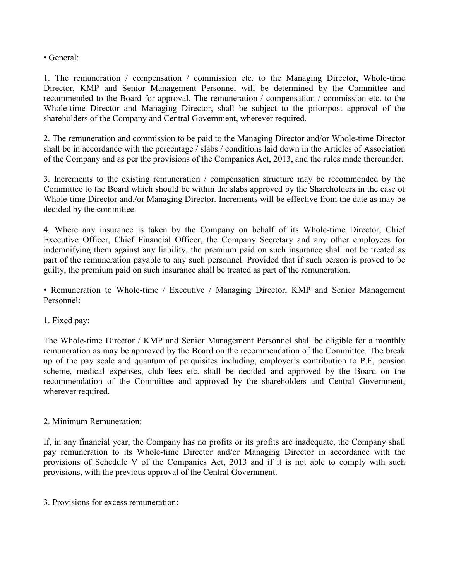• General:

1. The remuneration / compensation / commission etc. to the Managing Director, Whole-time Director, KMP and Senior Management Personnel will be determined by the Committee and recommended to the Board for approval. The remuneration / compensation / commission etc. to the Whole-time Director and Managing Director, shall be subject to the prior/post approval of the shareholders of the Company and Central Government, wherever required.

2. The remuneration and commission to be paid to the Managing Director and/or Whole-time Director shall be in accordance with the percentage / slabs / conditions laid down in the Articles of Association of the Company and as per the provisions of the Companies Act, 2013, and the rules made thereunder.

3. Increments to the existing remuneration / compensation structure may be recommended by the Committee to the Board which should be within the slabs approved by the Shareholders in the case of Whole-time Director and./or Managing Director. Increments will be effective from the date as may be decided by the committee.

4. Where any insurance is taken by the Company on behalf of its Whole-time Director, Chief Executive Officer, Chief Financial Officer, the Company Secretary and any other employees for indemnifying them against any liability, the premium paid on such insurance shall not be treated as part of the remuneration payable to any such personnel. Provided that if such person is proved to be guilty, the premium paid on such insurance shall be treated as part of the remuneration.

• Remuneration to Whole-time / Executive / Managing Director, KMP and Senior Management Personnel:

1. Fixed pay:

The Whole-time Director / KMP and Senior Management Personnel shall be eligible for a monthly remuneration as may be approved by the Board on the recommendation of the Committee. The break up of the pay scale and quantum of perquisites including, employer's contribution to P.F, pension scheme, medical expenses, club fees etc. shall be decided and approved by the Board on the recommendation of the Committee and approved by the shareholders and Central Government, wherever required.

### 2. Minimum Remuneration:

If, in any financial year, the Company has no profits or its profits are inadequate, the Company shall pay remuneration to its Whole-time Director and/or Managing Director in accordance with the provisions of Schedule V of the Companies Act, 2013 and if it is not able to comply with such provisions, with the previous approval of the Central Government.

3. Provisions for excess remuneration: